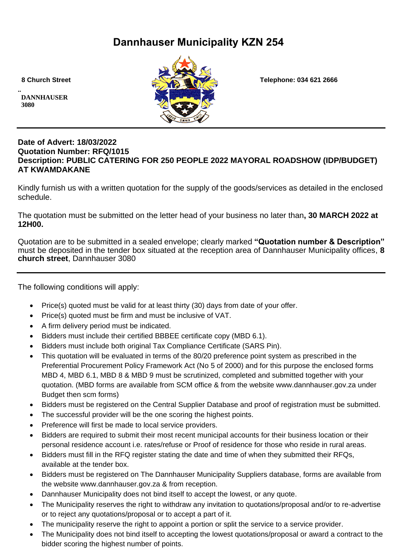# **Dannhauser Municipality KZN 254**

**.. DANNHAUSER 3080** 



 **8 Church Street Telephone: 034 621 2666**

## **Date of Advert: 18/03/2022 Quotation Number: RFQ/1015 Description: PUBLIC CATERING FOR 250 PEOPLE 2022 MAYORAL ROADSHOW (IDP/BUDGET) AT KWAMDAKANE**

Kindly furnish us with a written quotation for the supply of the goods/services as detailed in the enclosed schedule.

The quotation must be submitted on the letter head of your business no later than**, 30 MARCH 2022 at 12H00.**

Quotation are to be submitted in a sealed envelope; clearly marked **"Quotation number & Description"** must be deposited in the tender box situated at the reception area of Dannhauser Municipality offices, **8 church street**, Dannhauser 3080

The following conditions will apply:

- Price(s) quoted must be valid for at least thirty (30) days from date of your offer.
- Price(s) quoted must be firm and must be inclusive of VAT.
- A firm delivery period must be indicated.
- Bidders must include their certified BBBEE certificate copy (MBD 6.1).
- Bidders must include both original Tax Compliance Certificate (SARS Pin).
- This quotation will be evaluated in terms of the 80/20 preference point system as prescribed in the Preferential Procurement Policy Framework Act (No 5 of 2000) and for this purpose the enclosed forms MBD 4, MBD 6.1, MBD 8 & MBD 9 must be scrutinized, completed and submitted together with your quotation. (MBD forms are available from SCM office & from the website www.dannhauser.gov.za under Budget then scm forms)
- Bidders must be registered on the Central Supplier Database and proof of registration must be submitted.
- The successful provider will be the one scoring the highest points.
- Preference will first be made to local service providers.
- Bidders are required to submit their most recent municipal accounts for their business location or their personal residence account i.e. rates/refuse or Proof of residence for those who reside in rural areas.
- Bidders must fill in the RFQ register stating the date and time of when they submitted their RFQs, available at the tender box.
- Bidders must be registered on The Dannhauser Municipality Suppliers database, forms are available from the website www.dannhauser.gov.za & from reception.
- Dannhauser Municipality does not bind itself to accept the lowest, or any quote.
- The Municipality reserves the right to withdraw any invitation to quotations/proposal and/or to re-advertise or to reject any quotations/proposal or to accept a part of it.
- The municipality reserve the right to appoint a portion or split the service to a service provider.
- The Municipality does not bind itself to accepting the lowest quotations/proposal or award a contract to the bidder scoring the highest number of points.